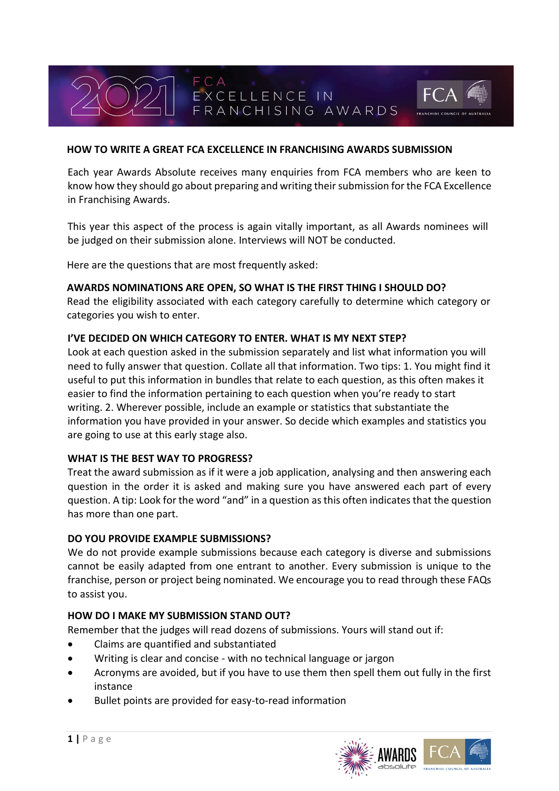# **HOW TO WRITE A GREAT FCA EXCELLENCE IN FRANCHISING AWARDS SUBMISSION**

EXCELLENCE IN

Each year Awards Absolute receives many enquiries from FCA members who are keen to know how they should go about preparing and writing their submission for the FCA Excellence in Franchising Awards.

FRANCHISING AWARDS

This year this aspect of the process is again vitally important, as all Awards nominees will be judged on their submission alone. Interviews will NOT be conducted.

Here are the questions that are most frequently asked:

FCA

#### **AWARDS NOMINATIONS ARE OPEN, SO WHAT IS THE FIRST THING I SHOULD DO?**

Read the eligibility associated with each category carefully to determine which category or categories you wish to enter.

#### **I'VE DECIDED ON WHICH CATEGORY TO ENTER. WHAT IS MY NEXT STEP?**

Look at each question asked in the submission separately and list what information you will need to fully answer that question. Collate all that information. Two tips: 1. You might find it useful to put this information in bundles that relate to each question, as this often makes it easier to find the information pertaining to each question when you're ready to start writing. 2. Wherever possible, include an example or statistics that substantiate the information you have provided in your answer. So decide which examples and statistics you are going to use at this early stage also.

#### **WHAT IS THE BEST WAY TO PROGRESS?**

Treat the award submission as if it were a job application, analysing and then answering each question in the order it is asked and making sure you have answered each part of every question. A tip: Look for the word "and" in a question as this often indicates that the question has more than one part.

#### **DO YOU PROVIDE EXAMPLE SUBMISSIONS?**

We do not provide example submissions because each category is diverse and submissions cannot be easily adapted from one entrant to another. Every submission is unique to the franchise, person or project being nominated. We encourage you to read through these FAQs to assist you.

## **HOW DO I MAKE MY SUBMISSION STAND OUT?**

Remember that the judges will read dozens of submissions. Yours will stand out if:

- Claims are quantified and substantiated
- Writing is clear and concise with no technical language or jargon
- Acronyms are avoided, but if you have to use them then spell them out fully in the first instance
- Bullet points are provided for easy-to-read information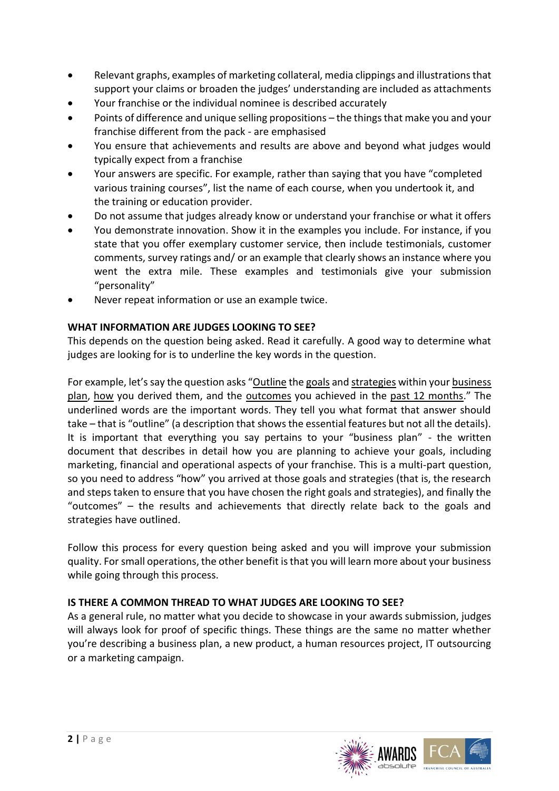- Relevant graphs, examples of marketing collateral, media clippings and illustrations that support your claims or broaden the judges' understanding are included as attachments
- Your franchise or the individual nominee is described accurately
- Points of difference and unique selling propositions the things that make you and your franchise different from the pack - are emphasised
- You ensure that achievements and results are above and beyond what judges would typically expect from a franchise
- Your answers are specific. For example, rather than saying that you have "completed various training courses", list the name of each course, when you undertook it, and the training or education provider.
- Do not assume that judges already know or understand your franchise or what it offers
- You demonstrate innovation. Show it in the examples you include. For instance, if you state that you offer exemplary customer service, then include testimonials, customer comments, survey ratings and/ or an example that clearly shows an instance where you went the extra mile. These examples and testimonials give your submission "personality"
- Never repeat information or use an example twice.

# **WHAT INFORMATION ARE JUDGES LOOKING TO SEE?**

This depends on the question being asked. Read it carefully. A good way to determine what judges are looking for is to underline the key words in the question.

For example, let's say the question asks "Outline the goals and strategies within your business plan, how you derived them, and the outcomes you achieved in the past 12 months." The underlined words are the important words. They tell you what format that answer should take – that is "outline" (a description that shows the essential features but not all the details). It is important that everything you say pertains to your "business plan" - the written document that describes in detail how you are planning to achieve your goals, including marketing, financial and operational aspects of your franchise. This is a multi-part question, so you need to address "how" you arrived at those goals and strategies (that is, the research and steps taken to ensure that you have chosen the right goals and strategies), and finally the "outcomes" – the results and achievements that directly relate back to the goals and strategies have outlined.

Follow this process for every question being asked and you will improve your submission quality. For small operations, the other benefit is that you will learn more about your business while going through this process.

## **IS THERE A COMMON THREAD TO WHAT JUDGES ARE LOOKING TO SEE?**

As a general rule, no matter what you decide to showcase in your awards submission, judges will always look for proof of specific things. These things are the same no matter whether you're describing a business plan, a new product, a human resources project, IT outsourcing or a marketing campaign.

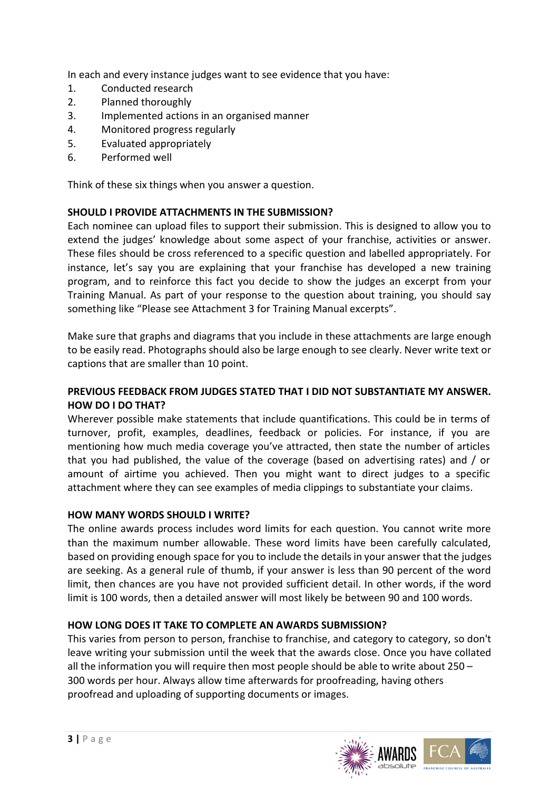In each and every instance judges want to see evidence that you have:

- 1. Conducted research
- 2. Planned thoroughly
- 3. Implemented actions in an organised manner
- 4. Monitored progress regularly
- 5. Evaluated appropriately
- 6. Performed well

Think of these six things when you answer a question.

## **SHOULD I PROVIDE ATTACHMENTS IN THE SUBMISSION?**

Each nominee can upload files to support their submission. This is designed to allow you to extend the judges' knowledge about some aspect of your franchise, activities or answer. These files should be cross referenced to a specific question and labelled appropriately. For instance, let's say you are explaining that your franchise has developed a new training program, and to reinforce this fact you decide to show the judges an excerpt from your Training Manual. As part of your response to the question about training, you should say something like "Please see Attachment 3 for Training Manual excerpts".

Make sure that graphs and diagrams that you include in these attachments are large enough to be easily read. Photographs should also be large enough to see clearly. Never write text or captions that are smaller than 10 point.

## **PREVIOUS FEEDBACK FROM JUDGES STATED THAT I DID NOT SUBSTANTIATE MY ANSWER. HOW DO I DO THAT?**

Wherever possible make statements that include quantifications. This could be in terms of turnover, profit, examples, deadlines, feedback or policies. For instance, if you are mentioning how much media coverage you've attracted, then state the number of articles that you had published, the value of the coverage (based on advertising rates) and / or amount of airtime you achieved. Then you might want to direct judges to a specific attachment where they can see examples of media clippings to substantiate your claims.

## **HOW MANY WORDS SHOULD I WRITE?**

The online awards process includes word limits for each question. You cannot write more than the maximum number allowable. These word limits have been carefully calculated, based on providing enough space for you to include the details in your answer that the judges are seeking. As a general rule of thumb, if your answer is less than 90 percent of the word limit, then chances are you have not provided sufficient detail. In other words, if the word limit is 100 words, then a detailed answer will most likely be between 90 and 100 words.

## **HOW LONG DOES IT TAKE TO COMPLETE AN AWARDS SUBMISSION?**

This varies from person to person, franchise to franchise, and category to category, so don't leave writing your submission until the week that the awards close. Once you have collated all the information you will require then most people should be able to write about 250 – 300 words per hour. Always allow time afterwards for proofreading, having others proofread and uploading of supporting documents or images.